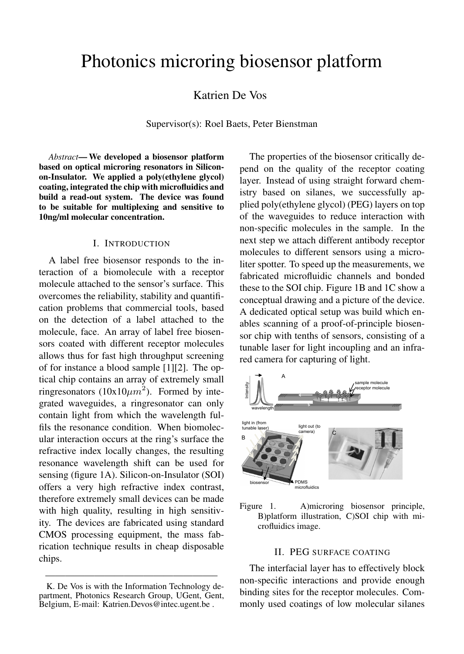# Photonics microring biosensor platform

Katrien De Vos

Supervisor(s): Roel Baets, Peter Bienstman

*Abstract*— We developed a biosensor platform based on optical microring resonators in Siliconon-Insulator. We applied a poly(ethylene glycol) coating, integrated the chip with microfluidics and build a read-out system. The device was found to be suitable for multiplexing and sensitive to 10ng/ml molecular concentration.

#### I. INTRODUCTION

A label free biosensor responds to the interaction of a biomolecule with a receptor molecule attached to the sensor's surface. This overcomes the reliability, stability and quantification problems that commercial tools, based on the detection of a label attached to the molecule, face. An array of label free biosensors coated with different receptor molecules allows thus for fast high throughput screening of for instance a blood sample [1][2]. The optical chip contains an array of extremely small ringresonators ( $10x10\mu m^2$ ). Formed by integrated waveguides, a ringresonator can only contain light from which the wavelength fulfils the resonance condition. When biomolecular interaction occurs at the ring's surface the refractive index locally changes, the resulting resonance wavelength shift can be used for sensing (figure 1A). Silicon-on-Insulator (SOI) offers a very high refractive index contrast, therefore extremely small devices can be made with high quality, resulting in high sensitivity. The devices are fabricated using standard CMOS processing equipment, the mass fabrication technique results in cheap disposable chips.

The properties of the biosensor critically depend on the quality of the receptor coating layer. Instead of using straight forward chemistry based on silanes, we successfully applied poly(ethylene glycol) (PEG) layers on top of the waveguides to reduce interaction with non-specific molecules in the sample. In the next step we attach different antibody receptor molecules to different sensors using a microliter spotter. To speed up the measurements, we fabricated microfluidic channels and bonded these to the SOI chip. Figure 1B and 1C show a conceptual drawing and a picture of the device. A dedicated optical setup was build which enables scanning of a proof-of-principle biosensor chip with tenths of sensors, consisting of a tunable laser for light incoupling and an infrared camera for capturing of light.



Figure 1. A)microring biosensor principle, B)platform illustration, C)SOI chip with microfluidics image.

## II. PEG SURFACE COATING

The interfacial layer has to effectively block non-specific interactions and provide enough binding sites for the receptor molecules. Commonly used coatings of low molecular silanes

<sup>—————————————————–</sup> K. De Vos is with the Information Technology department, Photonics Research Group, UGent, Gent, Belgium, E-mail: Katrien.Devos@intec.ugent.be .